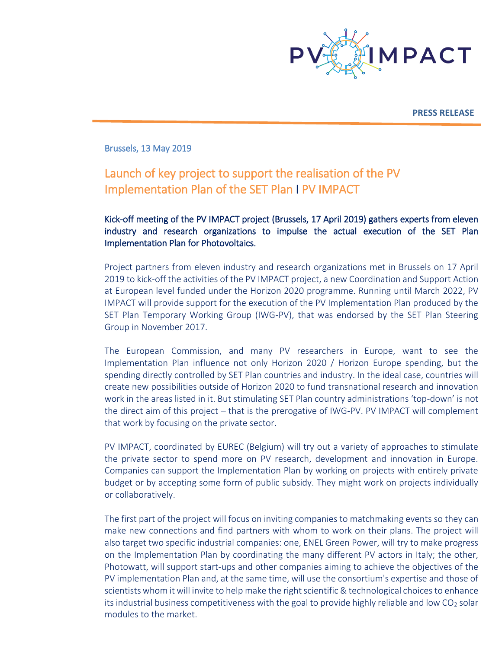

**PRESS RELEASE**

Brussels, 13 May 2019

# Launch of key project to support the realisation of the PV Implementation Plan of the SET Plan Ι PV IMPACT

## Kick-off meeting of the PV IMPACT project (Brussels, 17 April 2019) gathers experts from eleven industry and research organizations to impulse the actual execution of the SET Plan Implementation Plan for Photovoltaics.

Project partners from eleven industry and research organizations met in Brussels on 17 April 2019 to kick-off the activities of the PV IMPACT project, a new Coordination and Support Action at European level funded under the Horizon 2020 programme. Running until March 2022, PV IMPACT will provide support for the execution of the PV Implementation Plan produced by the SET Plan Temporary Working Group (IWG-PV), that was endorsed by the SET Plan Steering Group in November 2017.

The European Commission, and many PV researchers in Europe, want to see the Implementation Plan influence not only Horizon 2020 / Horizon Europe spending, but the spending directly controlled by SET Plan countries and industry. In the ideal case, countries will create new possibilities outside of Horizon 2020 to fund transnational research and innovation work in the areas listed in it. But stimulating SET Plan country administrations 'top-down' is not the direct aim of this project – that is the prerogative of IWG-PV. PV IMPACT will complement that work by focusing on the private sector.

PV IMPACT, coordinated by EUREC (Belgium) will try out a variety of approaches to stimulate the private sector to spend more on PV research, development and innovation in Europe. Companies can support the Implementation Plan by working on projects with entirely private budget or by accepting some form of public subsidy. They might work on projects individually or collaboratively.

The first part of the project will focus on inviting companies to matchmaking events so they can make new connections and find partners with whom to work on their plans. The project will also target two specific industrial companies: one, ENEL Green Power, will try to make progress on the Implementation Plan by coordinating the many different PV actors in Italy; the other, Photowatt, will support start-ups and other companies aiming to achieve the objectives of the PV implementation Plan and, at the same time, will use the consortium's expertise and those of scientists whom it will invite to help make the right scientific & technological choices to enhance its industrial business competitiveness with the goal to provide highly reliable and low  $CO<sub>2</sub>$  solar modules to the market.